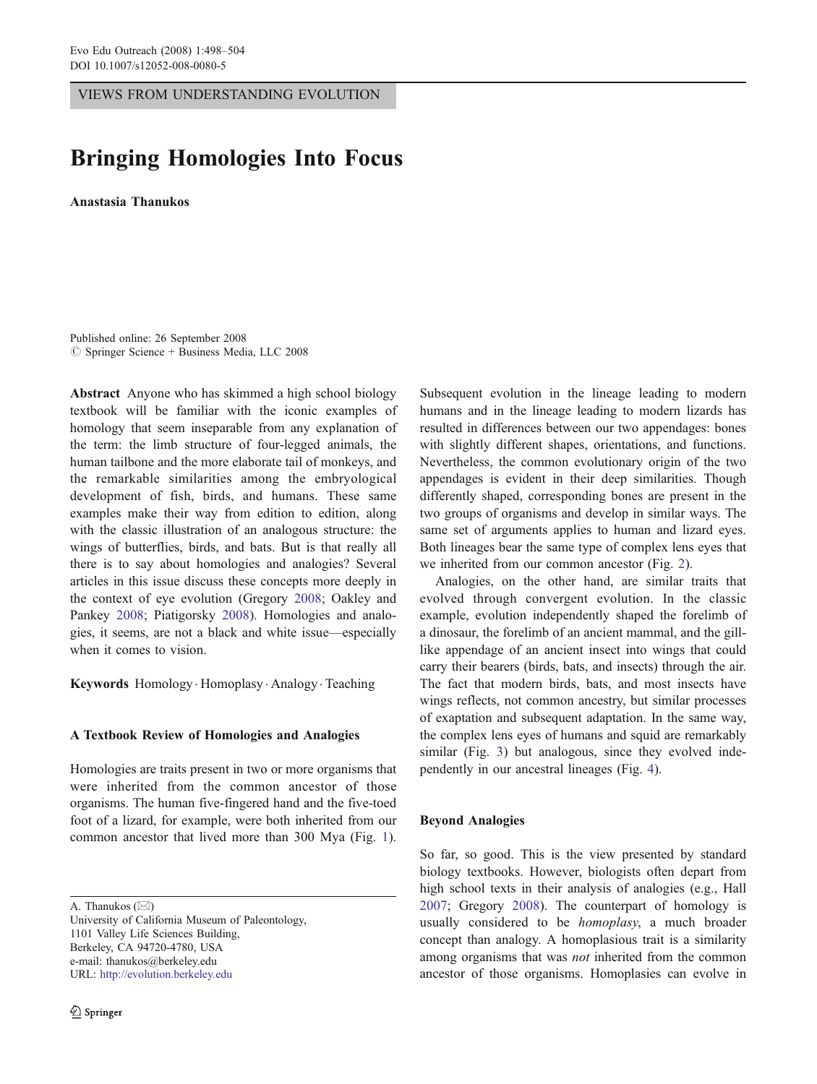VIEWS FROM UNDERSTANDING EVOLUTION

# Bringing Homologies Into Focus

Anastasia Thanukos

Published online: 26 September 2008  $\circ$  Springer Science + Business Media, LLC 2008

Abstract Anyone who has skimmed a high school biology textbook will be familiar with the iconic examples of homology that seem inseparable from any explanation of the term: the limb structure of four-legged animals, the human tailbone and the more elaborate tail of monkeys, and the remarkable similarities among the embryological development of fish, birds, and humans. These same examples make their way from edition to edition, along with the classic illustration of an analogous structure: the wings of butterflies, birds, and bats. But is that really all there is to say about homologies and analogies? Several articles in this issue discuss these concepts more deeply in the context of eye evolution (Gregory [2008;](#page-6-0) Oakley and Pankey [2008;](#page-6-0) Piatigorsky [2008\)](#page-6-0). Homologies and analogies, it seems, are not a black and white issue—especially when it comes to vision.

Keywords Homology . Homoplasy . Analogy. Teaching

#### A Textbook Review of Homologies and Analogies

Homologies are traits present in two or more organisms that were inherited from the common ancestor of those organisms. The human five-fingered hand and the five-toed foot of a lizard, for example, were both inherited from our common ancestor that lived more than 300 Mya (Fig. [1](#page-1-0)). Subsequent evolution in the lineage leading to modern humans and in the lineage leading to modern lizards has resulted in differences between our two appendages: bones with slightly different shapes, orientations, and functions. Nevertheless, the common evolutionary origin of the two appendages is evident in their deep similarities. Though differently shaped, corresponding bones are present in the two groups of organisms and develop in similar ways. The same set of arguments applies to human and lizard eyes. Both lineages bear the same type of complex lens eyes that we inherited from our common ancestor (Fig. [2\)](#page-1-0).

Analogies, on the other hand, are similar traits that evolved through convergent evolution. In the classic example, evolution independently shaped the forelimb of a dinosaur, the forelimb of an ancient mammal, and the gilllike appendage of an ancient insect into wings that could carry their bearers (birds, bats, and insects) through the air. The fact that modern birds, bats, and most insects have wings reflects, not common ancestry, but similar processes of exaptation and subsequent adaptation. In the same way, the complex lens eyes of humans and squid are remarkably similar (Fig. [3](#page-2-0)) but analogous, since they evolved independently in our ancestral lineages (Fig. [4](#page-2-0)).

#### Beyond Analogies

So far, so good. This is the view presented by standard biology textbooks. However, biologists often depart from high school texts in their analysis of analogies (e.g., Hall [2007](#page-6-0); Gregory [2008\)](#page-6-0). The counterpart of homology is usually considered to be homoplasy, a much broader concept than analogy. A homoplasious trait is a similarity among organisms that was not inherited from the common ancestor of those organisms. Homoplasies can evolve in

A. Thanukos ( $\boxtimes$ )

University of California Museum of Paleontology, 1101 Valley Life Sciences Building, Berkeley, CA 94720-4780, USA e-mail: thanukos@berkeley.edu URL: http://evolution.berkeley.edu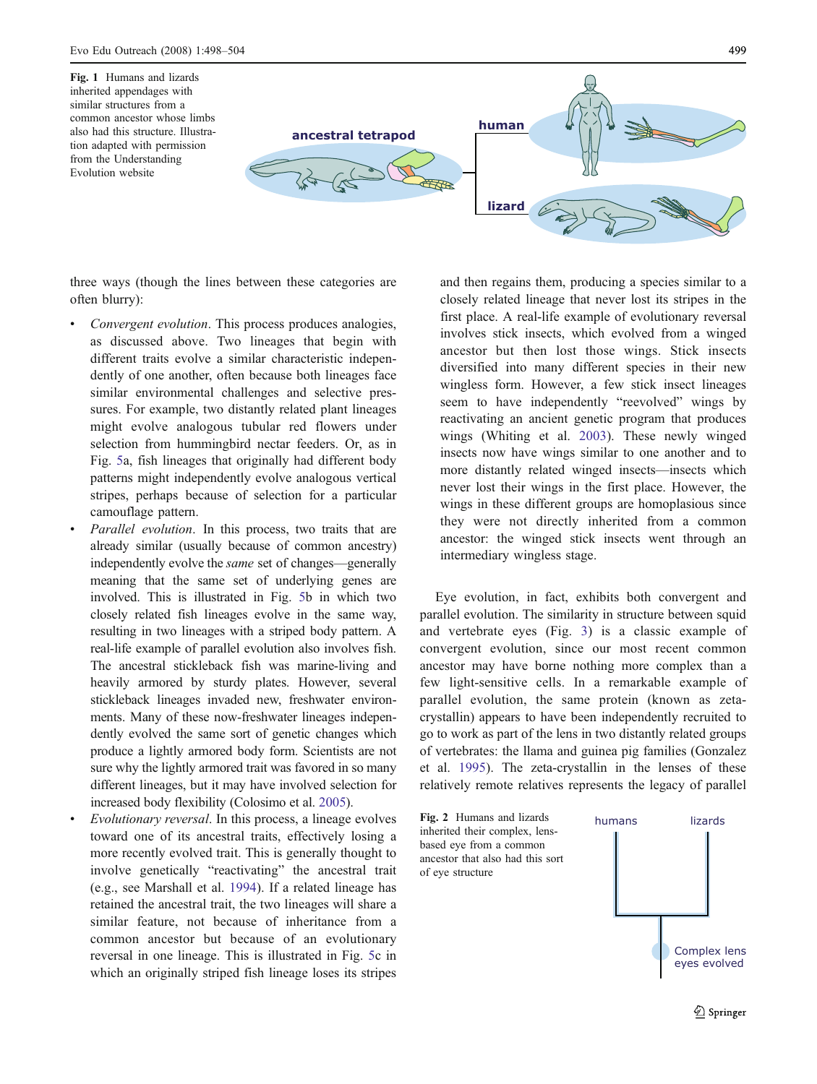<span id="page-1-0"></span>

three ways (though the lines between these categories are often blurry):

- Convergent evolution. This process produces analogies, as discussed above. Two lineages that begin with different traits evolve a similar characteristic independently of one another, often because both lineages face similar environmental challenges and selective pressures. For example, two distantly related plant lineages might evolve analogous tubular red flowers under selection from hummingbird nectar feeders. Or, as in Fig. [5a](#page-3-0), fish lineages that originally had different body patterns might independently evolve analogous vertical stripes, perhaps because of selection for a particular camouflage pattern.
- Parallel evolution. In this process, two traits that are already similar (usually because of common ancestry) independently evolve the same set of changes—generally meaning that the same set of underlying genes are involved. This is illustrated in Fig. [5b](#page-3-0) in which two closely related fish lineages evolve in the same way, resulting in two lineages with a striped body pattern. A real-life example of parallel evolution also involves fish. The ancestral stickleback fish was marine-living and heavily armored by sturdy plates. However, several stickleback lineages invaded new, freshwater environments. Many of these now-freshwater lineages independently evolved the same sort of genetic changes which produce a lightly armored body form. Scientists are not sure why the lightly armored trait was favored in so many different lineages, but it may have involved selection for increased body flexibility (Colosimo et al. [2005](#page-5-0)).
- Evolutionary reversal. In this process, a lineage evolves toward one of its ancestral traits, effectively losing a more recently evolved trait. This is generally thought to involve genetically "reactivating" the ancestral trait (e.g., see Marshall et al. [1994](#page-6-0)). If a related lineage has retained the ancestral trait, the two lineages will share a similar feature, not because of inheritance from a common ancestor but because of an evolutionary reversal in one lineage. This is illustrated in Fig. [5c](#page-3-0) in which an originally striped fish lineage loses its stripes

and then regains them, producing a species similar to a closely related lineage that never lost its stripes in the first place. A real-life example of evolutionary reversal involves stick insects, which evolved from a winged ancestor but then lost those wings. Stick insects diversified into many different species in their new wingless form. However, a few stick insect lineages seem to have independently "reevolved" wings by reactivating an ancient genetic program that produces wings (Whiting et al. [2003](#page-6-0)). These newly winged insects now have wings similar to one another and to more distantly related winged insects—insects which never lost their wings in the first place. However, the wings in these different groups are homoplasious since they were not directly inherited from a common ancestor: the winged stick insects went through an intermediary wingless stage.

Eye evolution, in fact, exhibits both convergent and parallel evolution. The similarity in structure between squid and vertebrate eyes (Fig. [3\)](#page-2-0) is a classic example of convergent evolution, since our most recent common ancestor may have borne nothing more complex than a few light-sensitive cells. In a remarkable example of parallel evolution, the same protein (known as zetacrystallin) appears to have been independently recruited to go to work as part of the lens in two distantly related groups of vertebrates: the llama and guinea pig families (Gonzalez et al. [1995](#page-5-0)). The zeta-crystallin in the lenses of these relatively remote relatives represents the legacy of parallel

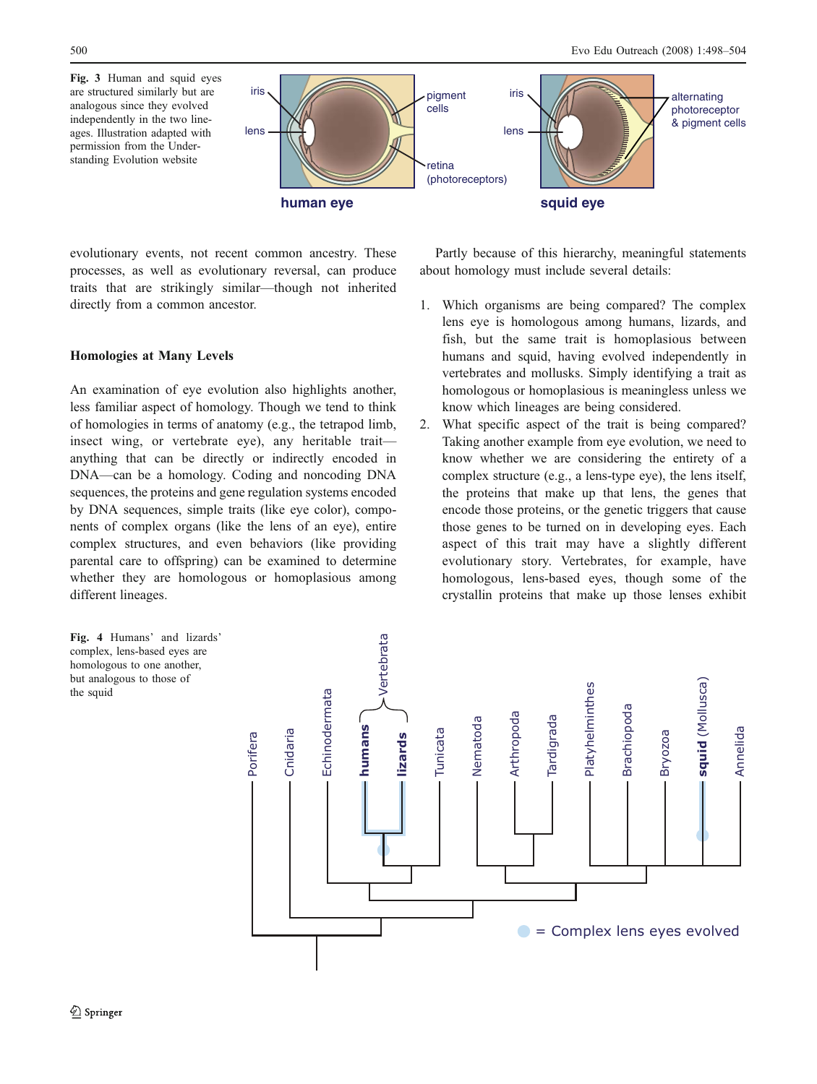<span id="page-2-0"></span>

evolutionary events, not recent common ancestry. These processes, as well as evolutionary reversal, can produce traits that are strikingly similar—though not inherited directly from a common ancestor.

## Homologies at Many Levels

An examination of eye evolution also highlights another, less familiar aspect of homology. Though we tend to think of homologies in terms of anatomy (e.g., the tetrapod limb, insect wing, or vertebrate eye), any heritable trait anything that can be directly or indirectly encoded in DNA—can be a homology. Coding and noncoding DNA sequences, the proteins and gene regulation systems encoded by DNA sequences, simple traits (like eye color), components of complex organs (like the lens of an eye), entire complex structures, and even behaviors (like providing parental care to offspring) can be examined to determine whether they are homologous or homoplasious among different lineages.

Partly because of this hierarchy, meaningful statements about homology must include several details:

- 1. Which organisms are being compared? The complex lens eye is homologous among humans, lizards, and fish, but the same trait is homoplasious between humans and squid, having evolved independently in vertebrates and mollusks. Simply identifying a trait as homologous or homoplasious is meaningless unless we know which lineages are being considered.
- 2. What specific aspect of the trait is being compared? Taking another example from eye evolution, we need to know whether we are considering the entirety of a complex structure (e.g., a lens-type eye), the lens itself, the proteins that make up that lens, the genes that encode those proteins, or the genetic triggers that cause those genes to be turned on in developing eyes. Each aspect of this trait may have a slightly different evolutionary story. Vertebrates, for example, have homologous, lens-based eyes, though some of the crystallin proteins that make up those lenses exhibit



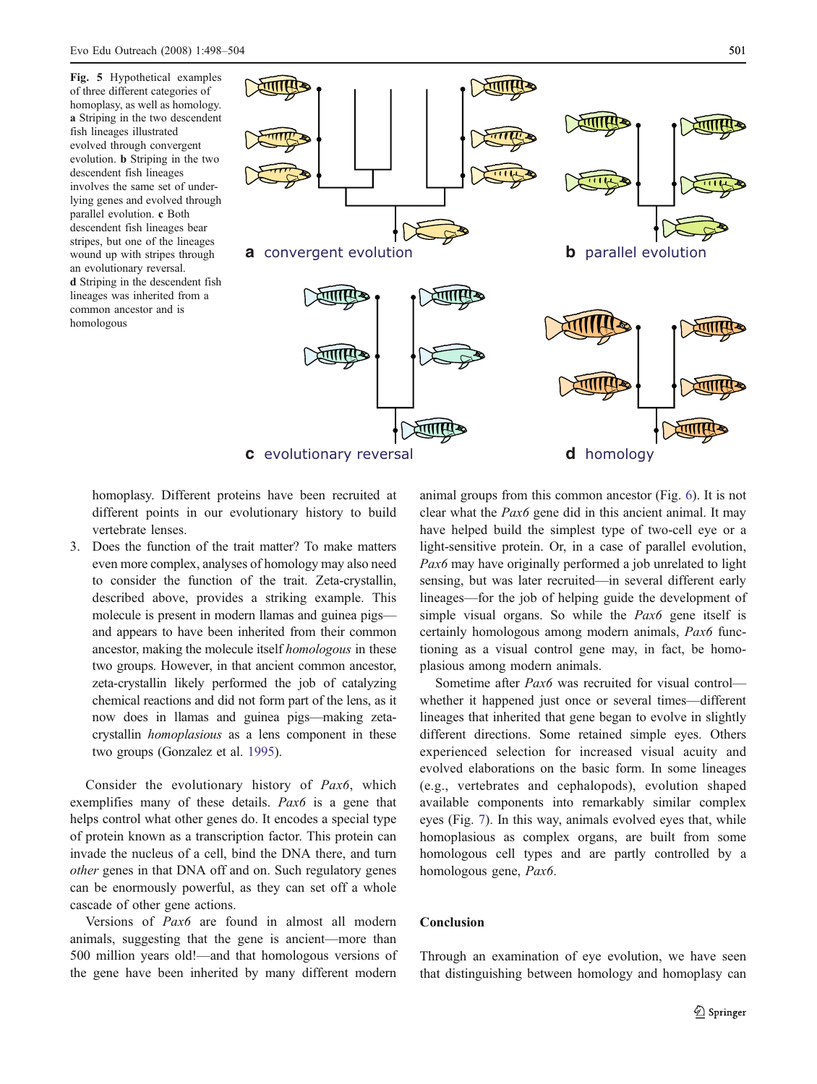<span id="page-3-0"></span>

homoplasy. Different proteins have been recruited at different points in our evolutionary history to build vertebrate lenses.

3. Does the function of the trait matter? To make matters even more complex, analyses of homology may also need to consider the function of the trait. Zeta-crystallin, described above, provides a striking example. This molecule is present in modern llamas and guinea pigs and appears to have been inherited from their common ancestor, making the molecule itself homologous in these two groups. However, in that ancient common ancestor, zeta-crystallin likely performed the job of catalyzing chemical reactions and did not form part of the lens, as it now does in llamas and guinea pigs—making zetacrystallin homoplasious as a lens component in these two groups (Gonzalez et al. [1995](#page-5-0)).

Consider the evolutionary history of Pax6, which exemplifies many of these details. Pax6 is a gene that helps control what other genes do. It encodes a special type of protein known as a transcription factor. This protein can invade the nucleus of a cell, bind the DNA there, and turn other genes in that DNA off and on. Such regulatory genes can be enormously powerful, as they can set off a whole cascade of other gene actions.

Versions of Pax6 are found in almost all modern animals, suggesting that the gene is ancient—more than 500 million years old!—and that homologous versions of the gene have been inherited by many different modern

animal groups from this common ancestor (Fig. [6\)](#page-4-0). It is not clear what the Pax6 gene did in this ancient animal. It may have helped build the simplest type of two-cell eye or a light-sensitive protein. Or, in a case of parallel evolution, Pax6 may have originally performed a job unrelated to light sensing, but was later recruited—in several different early lineages—for the job of helping guide the development of simple visual organs. So while the *Pax6* gene itself is certainly homologous among modern animals, Pax6 functioning as a visual control gene may, in fact, be homoplasious among modern animals.

Sometime after Pax6 was recruited for visual control whether it happened just once or several times—different lineages that inherited that gene began to evolve in slightly different directions. Some retained simple eyes. Others experienced selection for increased visual acuity and evolved elaborations on the basic form. In some lineages (e.g., vertebrates and cephalopods), evolution shaped available components into remarkably similar complex eyes (Fig. [7\)](#page-4-0). In this way, animals evolved eyes that, while homoplasious as complex organs, are built from some homologous cell types and are partly controlled by a homologous gene, Pax6.

#### Conclusion

Through an examination of eye evolution, we have seen that distinguishing between homology and homoplasy can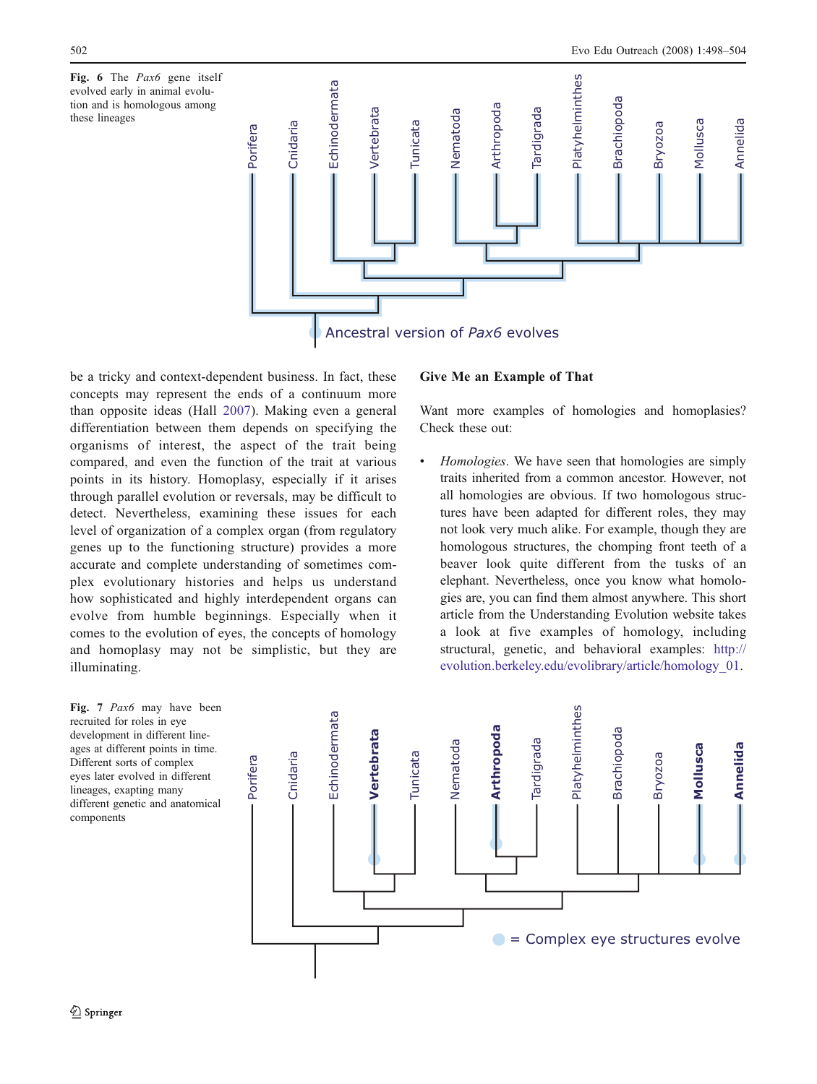<span id="page-4-0"></span>



be a tricky and context-dependent business. In fact, these concepts may represent the ends of a continuum more than opposite ideas (Hall [2007](#page-6-0)). Making even a general differentiation between them depends on specifying the organisms of interest, the aspect of the trait being compared, and even the function of the trait at various points in its history. Homoplasy, especially if it arises through parallel evolution or reversals, may be difficult to detect. Nevertheless, examining these issues for each level of organization of a complex organ (from regulatory genes up to the functioning structure) provides a more accurate and complete understanding of sometimes complex evolutionary histories and helps us understand how sophisticated and highly interdependent organs can evolve from humble beginnings. Especially when it comes to the evolution of eyes, the concepts of homology and homoplasy may not be simplistic, but they are illuminating.

## Give Me an Example of That

Want more examples of homologies and homoplasies? Check these out:

Homologies. We have seen that homologies are simply traits inherited from a common ancestor. However, not all homologies are obvious. If two homologous structures have been adapted for different roles, they may not look very much alike. For example, though they are homologous structures, the chomping front teeth of a beaver look quite different from the tusks of an elephant. Nevertheless, once you know what homologies are, you can find them almost anywhere. This short article from the Understanding Evolution website takes a look at five examples of homology, including structural, genetic, and behavioral examples: [http://](http://evolution.berkeley.edu/evolibrary/article/homology_01) [evolution.berkeley.edu/evolibrary/article/homology\\_01.](http://evolution.berkeley.edu/evolibrary/article/homology_01)



Fig. 7 Pax6 may have been recruited for roles in eye development in different lineages at different points in time. Different sorts of complex eyes later evolved in different lineages, exapting many different genetic and anatomical components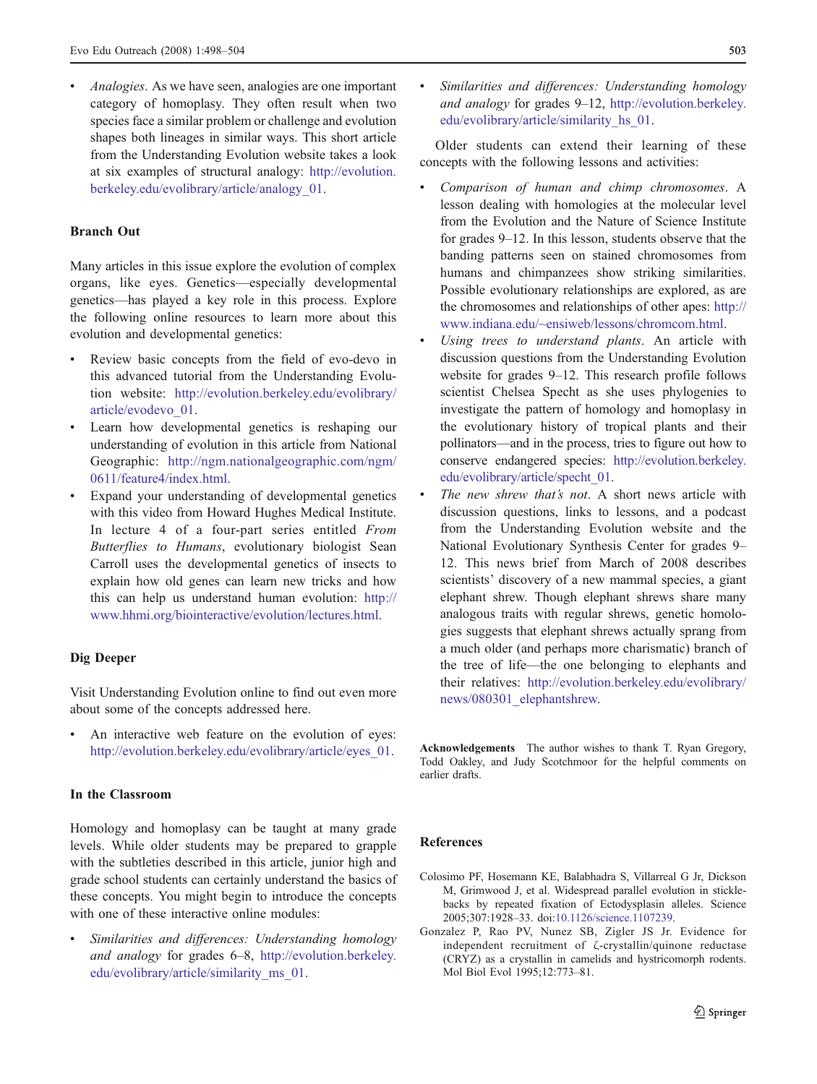<span id="page-5-0"></span>Analogies. As we have seen, analogies are one important category of homoplasy. They often result when two species face a similar problem or challenge and evolution shapes both lineages in similar ways. This short article from the Understanding Evolution website takes a look at six examples of structural analogy: [http://evolution.](http://evolution.berkeley.edu/evolibrary/article/analogy_01) [berkeley.edu/evolibrary/article/analogy\\_01.](http://evolution.berkeley.edu/evolibrary/article/analogy_01)

### Branch Out

Many articles in this issue explore the evolution of complex organs, like eyes. Genetics—especially developmental genetics—has played a key role in this process. Explore the following online resources to learn more about this evolution and developmental genetics:

- Review basic concepts from the field of evo-devo in this advanced tutorial from the Understanding Evolution website: [http://evolution.berkeley.edu/evolibrary/](http://evolution.berkeley.edu/evolibrary/article/evodevo_01) [article/evodevo\\_01.](http://evolution.berkeley.edu/evolibrary/article/evodevo_01)
- Learn how developmental genetics is reshaping our understanding of evolution in this article from National Geographic: [http://ngm.nationalgeographic.com/ngm/](http://ngm.nationalgeographic.com/ngm/0611/feature4/index.html) [0611/feature4/index.html.](http://ngm.nationalgeographic.com/ngm/0611/feature4/index.html)
- Expand your understanding of developmental genetics with this video from Howard Hughes Medical Institute. In lecture 4 of a four-part series entitled From Butterflies to Humans, evolutionary biologist Sean Carroll uses the developmental genetics of insects to explain how old genes can learn new tricks and how this can help us understand human evolution: [http://](http://www.hhmi.org/biointeractive/evolution/lectures.html) [www.hhmi.org/biointeractive/evolution/lectures.html](http://www.hhmi.org/biointeractive/evolution/lectures.html).

#### Dig Deeper

Visit Understanding Evolution online to find out even more about some of the concepts addressed here.

An interactive web feature on the evolution of eyes: [http://evolution.berkeley.edu/evolibrary/article/eyes\\_01](http://evolution.berkeley.edu/evolibrary/article/eyes_01).

## In the Classroom

Homology and homoplasy can be taught at many grade levels. While older students may be prepared to grapple with the subtleties described in this article, junior high and grade school students can certainly understand the basics of these concepts. You might begin to introduce the concepts with one of these interactive online modules:

Similarities and differences: Understanding homology and analogy for grades 6–8, [http://evolution.berkeley.](http://evolution.berkeley.edu/evolibrary/article/similarity_ms_01) [edu/evolibrary/article/similarity\\_ms\\_01](http://evolution.berkeley.edu/evolibrary/article/similarity_ms_01).

Similarities and differences: Understanding homology and analogy for grades 9–12, [http://evolution.berkeley.](http://evolution.berkeley.edu/evolibrary/article/similarity_hs_01) [edu/evolibrary/article/similarity\\_hs\\_01.](http://evolution.berkeley.edu/evolibrary/article/similarity_hs_01)

Older students can extend their learning of these concepts with the following lessons and activities:

- & Comparison of human and chimp chromosomes. A lesson dealing with homologies at the molecular level from the Evolution and the Nature of Science Institute for grades 9–12. In this lesson, students observe that the banding patterns seen on stained chromosomes from humans and chimpanzees show striking similarities. Possible evolutionary relationships are explored, as are the chromosomes and relationships of other apes: [http://](http://www.indiana.edu/~ensiweb/lessons/chromcom.html) [www.indiana.edu/~ensiweb/lessons/chromcom.html.](http://www.indiana.edu/~ensiweb/lessons/chromcom.html)
- Using trees to understand plants. An article with discussion questions from the Understanding Evolution website for grades 9–12. This research profile follows scientist Chelsea Specht as she uses phylogenies to investigate the pattern of homology and homoplasy in the evolutionary history of tropical plants and their pollinators—and in the process, tries to figure out how to conserve endangered species: [http://evolution.berkeley.](http://evolution.berkeley.edu/evolibrary/article/specht_01) [edu/evolibrary/article/specht\\_01.](http://evolution.berkeley.edu/evolibrary/article/specht_01)
- The new shrew that's not. A short news article with discussion questions, links to lessons, and a podcast from the Understanding Evolution website and the National Evolutionary Synthesis Center for grades 9– 12. This news brief from March of 2008 describes scientists' discovery of a new mammal species, a giant elephant shrew. Though elephant shrews share many analogous traits with regular shrews, genetic homologies suggests that elephant shrews actually sprang from a much older (and perhaps more charismatic) branch of the tree of life—the one belonging to elephants and their relatives: [http://evolution.berkeley.edu/evolibrary/](http://evolution.berkeley.edu/evolibrary/news/080301_elephantshrew) [news/080301\\_elephantshrew.](http://evolution.berkeley.edu/evolibrary/news/080301_elephantshrew)

Acknowledgements The author wishes to thank T. Ryan Gregory, Todd Oakley, and Judy Scotchmoor for the helpful comments on earlier drafts.

## References

- Colosimo PF, Hosemann KE, Balabhadra S, Villarreal G Jr, Dickson M, Grimwood J, et al. Widespread parallel evolution in sticklebacks by repeated fixation of Ectodysplasin alleles. Science 2005;307:1928–33. doi:[10.1126/science.1107239.](http://dx.doi.org/10.1126/science.1107239)
- Gonzalez P, Rao PV, Nunez SB, Zigler JS Jr. Evidence for independent recruitment of ζ-crystallin/quinone reductase (CRYZ) as a crystallin in camelids and hystricomorph rodents. Mol Biol Evol 1995;12:773–81.